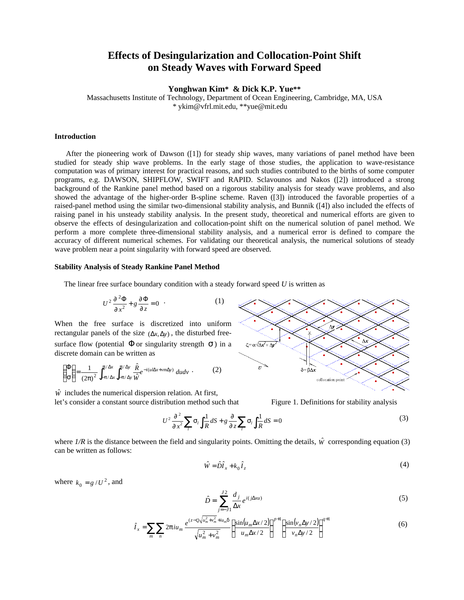# **Effects of Desingularization and Collocation-Point Shift on Steady Waves with Forward Speed**

**Yonghwan Kim\* & Dick K.P. Yue\*\***

Massachusetts Institute of Technology, Department of Ocean Engineering, Cambridge, MA, USA \* ykim@vfrl.mit.edu, \*\*yue@mit.edu

#### **Introduction**

 After the pioneering work of Dawson ([1]) for steady ship waves, many variations of panel method have been studied for steady ship wave problems. In the early stage of those studies, the application to wave-resistance computation was of primary interest for practical reasons, and such studies contributed to the births of some computer programs, e.g. DAWSON, SHIPFLOW, SWIFT and RAPID. Sclavounos and Nakos ([2]) introduced a strong background of the Rankine panel method based on a rigorous stability analysis for steady wave problems, and also showed the advantage of the higher-order B-spline scheme. Raven ([3]) introduced the favorable properties of a raised-panel method using the similar two-dimensional stability analysis, and Bunnik ([4]) also included the effects of raising panel in his unsteady stability analysis. In the present study, theoretical and numerical efforts are given to observe the effects of desingularization and collocation-point shift on the numerical solution of panel method. We perform a more complete three-dimensional stability analysis, and a numerical error is defined to compare the accuracy of different numerical schemes. For validating our theoretical analysis, the numerical solutions of steady wave problem near a point singularity with forward speed are observed.

### **Stability Analysis of Steady Rankine Panel Method**

The linear free surface boundary condition with a steady forward speed *U* is written as

$$
U^2 \frac{\partial^2 \Phi}{\partial x^2} + g \frac{\partial \Phi}{\partial z} = 0 \quad . \tag{1}
$$

When the free surface is discretized into uniform rectangular panels of the size  $(\Delta x, \Delta y)$ , the disturbed freesurface flow (potential  $\Phi$  or singularity strength  $\sigma$ ) in a discrete domain can be written as

$$
\begin{pmatrix} \Phi \\ \sigma \end{pmatrix} = \frac{1}{(2\pi)^2} \int_{-\pi/\Delta x}^{\pi/\Delta x} \int_{-\pi/\Delta y}^{\pi/\Delta y} \frac{\hat{R}}{\hat{W}} e^{-i(ul\Delta x + \nu m\Delta y)} du dv \qquad (2)
$$

 $\hat{W}$  includes the numerical dispersion relation. At first, let's consider a constant source distribution method such that Figure 1. Definitions for stability analysis



$$
U^2 \frac{\partial^2}{\partial x^2} \sum_l \sigma_l \int_l \frac{1}{R} dS + g \frac{\partial}{\partial z} \sum_l \sigma_l \int_l \frac{1}{R} dS = 0
$$
 (3)

where  $1/R$  is the distance between the field and singularity points. Omitting the details,  $\hat{w}$  corresponding equation (3) can be written as follows:

$$
\hat{W} = \hat{D}\hat{I}_x + k_0 \hat{I}_z \tag{4}
$$

where  $k_0 = g/U^2$ , and

$$
\hat{D} = \sum_{j=-J1}^{J2} \frac{d_j}{\Delta x} e^{i(j\Delta x u)} \tag{5}
$$

$$
\hat{I}_x = \sum_m \sum_n 2\pi i u_m \frac{e^{(z-\varsigma)\sqrt{u_m^2 + v_m^2} + i u_m \delta}}{\sqrt{u_m^2 + v_m^2}} \left\{ \frac{\sin(u_m \Delta x/2)}{u_m \Delta x/2} \right\}^{p+1} \left\{ \frac{\sin(v_n \Delta y/2)}{v_n \Delta y/2} \right\}^{q+1}
$$
(6)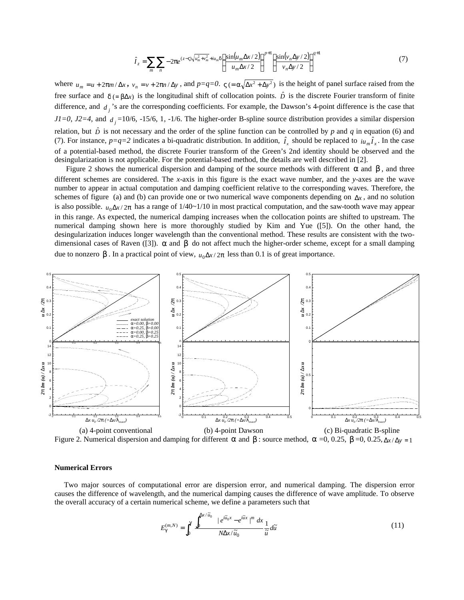$$
\hat{I}_z = \sum_{m} \sum_{n} -2\pi e^{(z-\varsigma)\sqrt{u_m^2 + v_m^2} + iu_m \delta} \left\{ \frac{\sin(u_m \Delta x/2)}{u_m \Delta x/2} \right\}^{p+1} \left\{ \frac{\sin(v_n \Delta y/2)}{v_n \Delta y/2} \right\}^{q+1}
$$
(7)

where  $u_m = u + 2\pi m/\Delta x$ ,  $v_n = v + 2\pi n/\Delta y$ , and  $p = q = 0$ .  $\varsigma = \alpha \sqrt{\Delta x^2 + \Delta y^2}$  is the height of panel surface raised from the free surface and δ(= βΔ*x*) is the longitudinal shift of collocation points.  $\hat{D}$  is the discrete Fourier transform of finite difference, and  $d_j$ 's are the corresponding coefficients. For example, the Dawson's 4-point difference is the case that  $J1=0$ ,  $J2=4$ , and  $d_j=10/6$ ,  $-15/6$ , 1,  $-1/6$ . The higher-order B-spline source distribution provides a similar dispersion relation, but  $\hat{D}$  is not necessary and the order of the spline function can be controlled by p and q in equation (6) and (7). For instance,  $p=q=2$  indicates a bi-quadratic distribution. In addition,  $\hat{I}_x$  should be replaced to  $i\mu_m \hat{I}_x$ . In the case of a potential-based method, the discrete Fourier transform of the Green's 2nd identity should be observed and the desingularization is not applicable. For the potential-based method, the details are well described in [2].

Figure 2 shows the numerical dispersion and damping of the source methods with different  $\alpha$  and  $\beta$ , and three different schemes are considered. The *x*-axis in this figure is the exact wave number, and the *y*-axes are the wave number to appear in actual computation and damping coefficient relative to the corresponding waves. Therefore, the schemes of figure (a) and (b) can provide one or two numerical wave components depending on  $\Delta x$ , and no solution is also possible.  $u_0 \Delta x / 2\pi$  has a range of  $1/40 \sim 1/10$  in most practical computation, and the saw-tooth wave may appear in this range. As expected, the numerical damping increases when the collocation points are shifted to upstream. The numerical damping shown here is more thoroughly studied by Kim and Yue ([5]). On the other hand, the desingularization induces longer wavelength than the conventional method. These results are consistent with the twodimensional cases of Raven ([3]).  $\alpha$  and  $\beta$  do not affect much the higher-order scheme, except for a small damping due to nonzero β. In a practical point of view,  $u_0 \Delta x / 2π$  less than 0.1 is of great importance.



Figure 2. Numerical dispersion and damping for different α and β : source method,  $\alpha$  =0, 0.25,  $\beta$  =0, 0.25,  $\Delta x/\Delta y = 1$ 

#### **Numerical Errors**

 Two major sources of computational error are dispersion error, and numerical damping. The dispersion error causes the difference of wavelength, and the numerical damping causes the difference of wave amplitude. To observe the overall accuracy of a certain numerical scheme, we define a parameters such that

$$
E_{\gamma}^{(m,N)} = \int_0^{\gamma} \frac{\int_0^{\Delta x/\tilde{u}_0} + e^{i\tilde{u}_0 x} - e^{i\tilde{u}x}}{N\Delta x/\tilde{u}_0} \frac{1}{\tilde{u}} d\tilde{u}
$$
(11)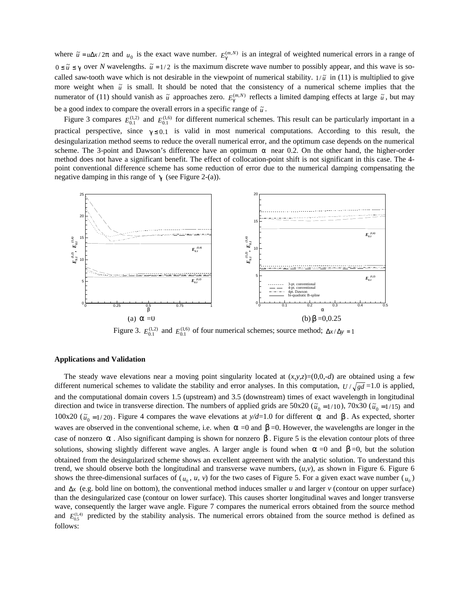where  $\tilde{u} = u\Delta x/2\pi$  and  $u_0$  is the exact wave number.  $E_{\gamma}^{(m,N)}$  is an integral of weighted numerical errors in a range of  $0 \leq \tilde{u} \leq \gamma$  over *N* wavelengths.  $\tilde{u} = 1/2$  is the maximum discrete wave number to possibly appear, and this wave is socalled saw-tooth wave which is not desirable in the viewpoint of numerical stability.  $1/\tilde{u}$  in (11) is multiplied to give more weight when  $\tilde{u}$  is small. It should be noted that the consistency of a numerical scheme implies that the numerator of (11) should vanish as  $\tilde{u}$  approaches zero.  $E_{\gamma}^{(m,N)}$  reflects a limited damping effects at large  $\tilde{u}$ , but may be a good index to compare the overall errors in a specific range of  $\tilde{u}$ .

Figure 3 compares  $E_{0,1}^{(1,2)}$  and  $E_{0,1}^{(1,6)}$  for different numerical schemes. This result can be particularly important in a practical perspective, since  $\gamma \le 0.1$  is valid in most numerical computations. According to this result, the desingularization method seems to reduce the overall numerical error, and the optimum case depends on the numerical scheme. The 3-point and Dawson's difference have an optimum  $\alpha$  near 0.2. On the other hand, the higher-order method does not have a significant benefit. The effect of collocation-point shift is not significant in this case. The 4 point conventional difference scheme has some reduction of error due to the numerical damping compensating the negative damping in this range of  $\gamma$  (see Figure 2-(a)).



Figure 3.  $E_{0,1}^{(1,2)}$  and  $E_{0,1}^{(1,6)}$  of four numerical schemes; source method;  $\Delta x / \Delta y = 1$ 

#### **Applications and Validation**

The steady wave elevations near a moving point singularity located at  $(x, y, z) = (0, 0, -d)$  are obtained using a few different numerical schemes to validate the stability and error analyses. In this computation,  $U/\sqrt{gd} = 1.0$  is applied, and the computational domain covers 1.5 (upstream) and 3.5 (downstream) times of exact wavelength in longitudinal direction and twice in transverse direction. The numbers of applied grids are  $50x20$  ( $\tilde{u}_0 = 1/10$ ),  $70x30$  ( $\tilde{u}_0 = 1/15$ ) and 100x20 ( $\tilde{u}_0$  = 1/20). Figure 4 compares the wave elevations at *y/d*=1.0 for different α and β. As expected, shorter waves are observed in the conventional scheme, i.e. when  $\alpha$  =0 and  $\beta$  =0. However, the wavelengths are longer in the case of nonzero  $\alpha$ . Also significant damping is shown for nonzero  $\beta$ . Figure 5 is the elevation contour plots of three solutions, showing slightly different wave angles. A larger angle is found when  $\alpha = 0$  and  $\beta = 0$ , but the solution obtained from the desingularized scheme shows an excellent agreement with the analytic solution. To understand this trend, we should observe both the longitudinal and transverse wave numbers,  $(u, v)$ , as shown in Figure 6. Figure 6 shows the three-dimensional surfaces of  $(u_0, u, v)$  for the two cases of Figure 5. For a given exact wave number  $(u_0)$ and  $\Delta x$  (e.g. bold line on bottom), the conventional method induces smaller *u* and larger *v* (contour on upper surface) than the desingularized case (contour on lower surface). This causes shorter longitudinal waves and longer transverse wave, consequently the larger wave angle. Figure 7 compares the numerical errors obtained from the source method and  $E_{0.5}^{(1,4)}$  predicted by the stability analysis. The numerical errors obtained from the source method is defined as follows: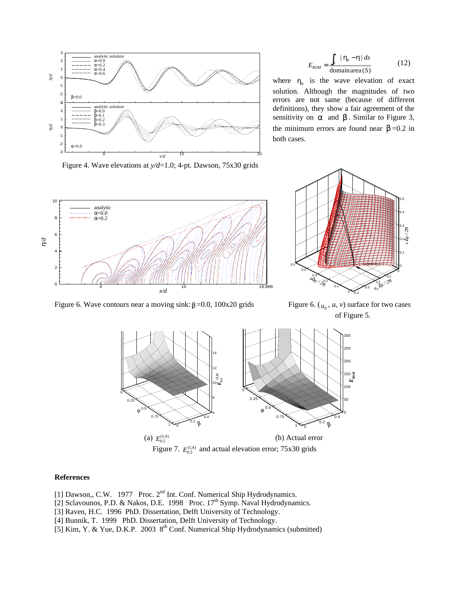

 $domain area(S)$  $| \eta_0 - \eta |$ *S ds*  $E_{RSM} = \frac{J_S}{I}$  $η<sub>0</sub> - η$  $=\frac{\int_{S}^{S} |\eta_{0} - \eta| ds}{\sqrt{12}}$  (12)

where  $\eta_0$  is the wave elevation of exact solution. Although the magnitudes of two errors are not same (because of different definitions), they show a fair agreement of the sensitivity on  $\alpha$  and  $\beta$ . Similar to Figure 3, the minimum errors are found near  $\beta = 0.2$  in both cases.

Figure 4. Wave elevations at *y/d*=1.0; 4-pt. Dawson, 75x30 grids



Figure 6. Wave contours near a moving sink: β = 0.0, 100x20 grids



Figure 6.  $(u_0, u, v)$  surface for two cases of Figure 5.



Figure 7.  $E_{0.5}^{(1,4)}$  and actual elevation error; 75x30 grids

### **References**

- [1] Dawson,, C.W. 1977 Proc. 2<sup>nd</sup> Int. Conf. Numerical Ship Hydrodynamics.
- [2] Sclavounos, P.D. & Nakos, D.E. 1998 Proc. 17<sup>th</sup> Symp. Naval Hydrodynamics.
- [3] Raven, H.C. 1996 PhD. Dissertation, Delft University of Technology.
- [4] Bunnik, T. 1999 PhD. Dissertation, Delft University of Technology.
- [5] Kim, Y. & Yue, D.K.P. 2003 8<sup>th</sup> Conf. Numerical Ship Hydrodynamics (submitted)